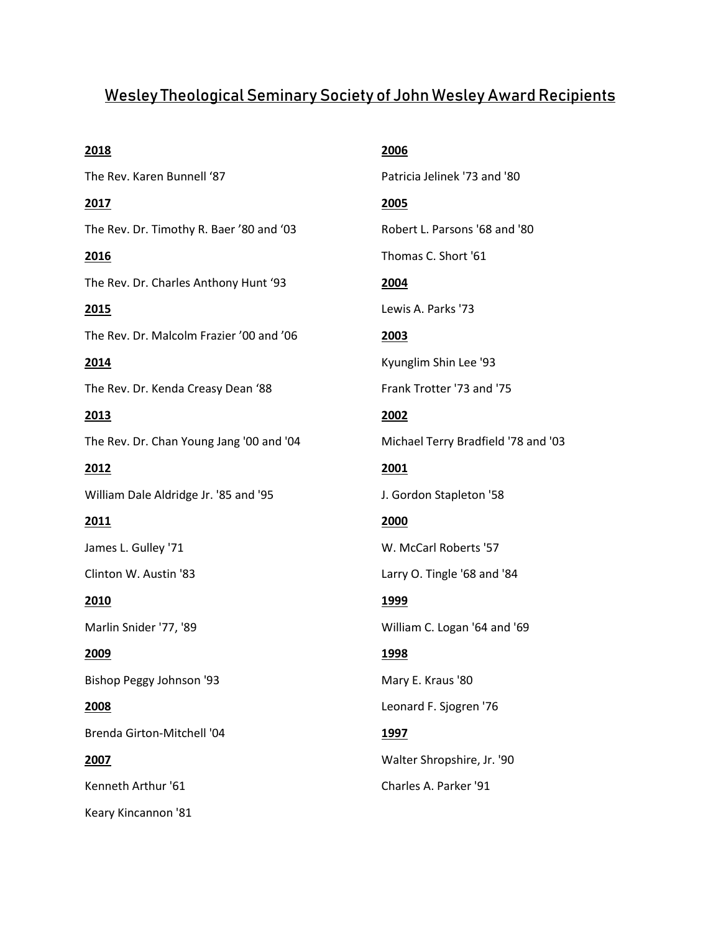## Wesley Theological Seminary Society of John Wesley Award Recipients

**2018** The Rev. Karen Bunnell '87 **2017**  The Rev. Dr. Timothy R. Baer '80 and '03 **2016**  The Rev. Dr. Charles Anthony Hunt '93 **2015**  The Rev. Dr. Malcolm Frazier '00 and '06 **2014**  The Rev. Dr. Kenda Creasy Dean '88 **2013**  The Rev. Dr. Chan Young Jang '00 and '04 **2012**  William Dale Aldridge Jr. '85 and '95 **2011**  James L. Gulley '71 Clinton W. Austin '83 **2010**  Marlin Snider '77, '89 **2009**  Bishop Peggy Johnson '93 **2008**  Brenda Girton-Mitchell '04 **2007**  Kenneth Arthur '61 Keary Kincannon '81

**2006**  Patricia Jelinek '73 and '80 **2005**  Robert L. Parsons '68 and '80 Thomas C. Short '61 **2004**  Lewis A. Parks '73 **2003**  Kyunglim Shin Lee '93 Frank Trotter '73 and '75 **2002**  Michael Terry Bradfield '78 and '03 **2001**  J. Gordon Stapleton '58 **2000**  W. McCarl Roberts '57 Larry O. Tingle '68 and '84 **1999**  William C. Logan '64 and '69 **1998**  Mary E. Kraus '80 Leonard F. Sjogren '76 **1997**  Walter Shropshire, Jr. '90 Charles A. Parker '91